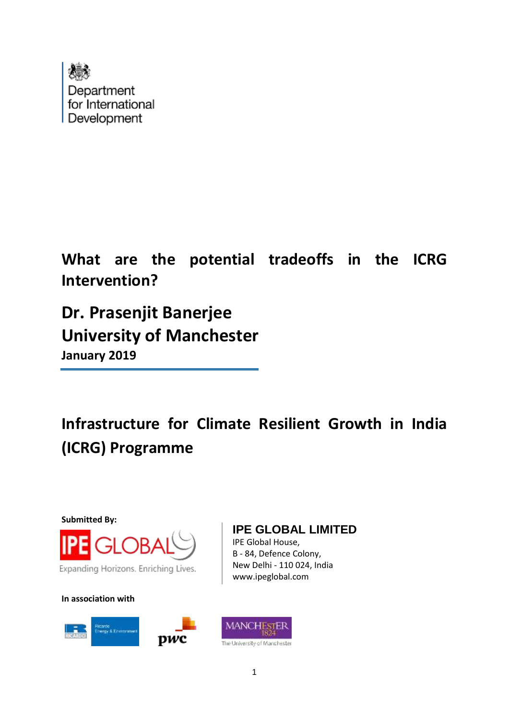

**What are the potential tradeoffs in the ICRG Intervention?**

**Dr. Prasenjit Banerjee University of Manchester January 2019**

**Infrastructure for Climate Resilient Growth in India (ICRG) Programme**

**Submitted By:**



Expanding Horizons. Enriching Lives.

**In association with**



# **IPE GLOBAL LIMITED**

IPE Global House, B - 84, Defence Colony, New Delhi - 110 024, India www.ipeglobal.com

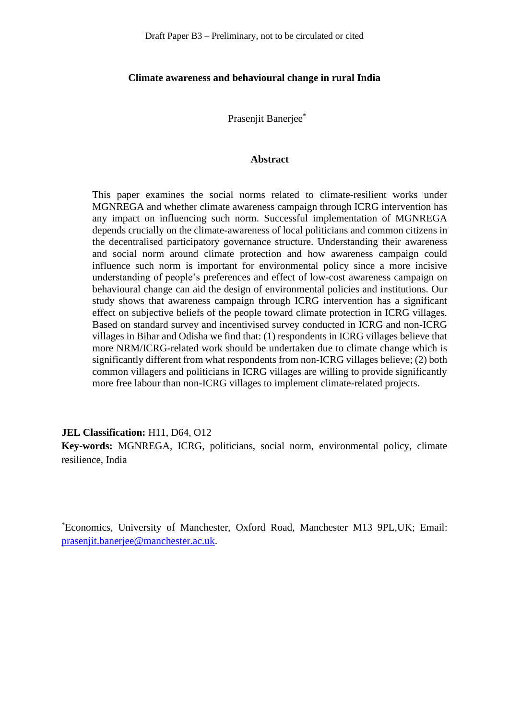#### **Climate awareness and behavioural change in rural India**

Prasenjit Banerjee\*

#### **Abstract**

This paper examines the social norms related to climate-resilient works under MGNREGA and whether climate awareness campaign through ICRG intervention has any impact on influencing such norm. Successful implementation of MGNREGA depends crucially on the climate-awareness of local politicians and common citizens in the decentralised participatory governance structure. Understanding their awareness and social norm around climate protection and how awareness campaign could influence such norm is important for environmental policy since a more incisive understanding of people's preferences and effect of low-cost awareness campaign on behavioural change can aid the design of environmental policies and institutions. Our study shows that awareness campaign through ICRG intervention has a significant effect on subjective beliefs of the people toward climate protection in ICRG villages. Based on standard survey and incentivised survey conducted in ICRG and non-ICRG villages in Bihar and Odisha we find that: (1) respondents in ICRG villages believe that more NRM/ICRG-related work should be undertaken due to climate change which is significantly different from what respondents from non-ICRG villages believe; (2) both common villagers and politicians in ICRG villages are willing to provide significantly more free labour than non-ICRG villages to implement climate-related projects.

#### **JEL Classification:** H11, D64, O12

**Key-words:** MGNREGA, ICRG, politicians, social norm, environmental policy, climate resilience, India

\*Economics, University of Manchester, Oxford Road, Manchester M13 9PL,UK; Email: [prasenjit.banerjee@manchester.ac.uk.](mailto:prasenjit.banerjee@manchester.ac.uk)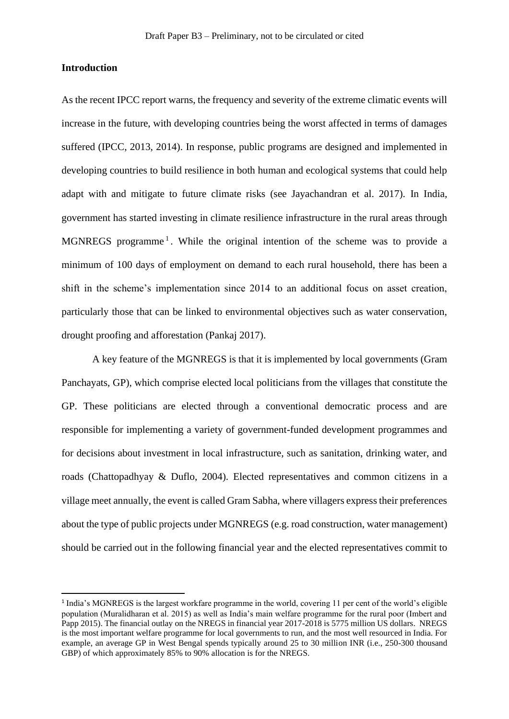#### **Introduction**

As the recent IPCC report warns, the frequency and severity of the extreme climatic events will increase in the future, with developing countries being the worst affected in terms of damages suffered (IPCC, 2013, 2014). In response, public programs are designed and implemented in developing countries to build resilience in both human and ecological systems that could help adapt with and mitigate to future climate risks (see Jayachandran et al. 2017). In India, government has started investing in climate resilience infrastructure in the rural areas through MGNREGS programme<sup>1</sup>. While the original intention of the scheme was to provide a minimum of 100 days of employment on demand to each rural household, there has been a shift in the scheme's implementation since 2014 to an additional focus on asset creation, particularly those that can be linked to environmental objectives such as water conservation, drought proofing and afforestation (Pankaj 2017).

A key feature of the MGNREGS is that it is implemented by local governments (Gram Panchayats, GP), which comprise elected local politicians from the villages that constitute the GP. These politicians are elected through a conventional democratic process and are responsible for implementing a variety of government-funded development programmes and for decisions about investment in local infrastructure, such as sanitation, drinking water, and roads (Chattopadhyay & Duflo, 2004). Elected representatives and common citizens in a village meet annually, the event is called Gram Sabha, where villagers express their preferences about the type of public projects under MGNREGS (e.g. road construction, water management) should be carried out in the following financial year and the elected representatives commit to

<sup>&</sup>lt;sup>1</sup> India's MGNREGS is the largest workfare programme in the world, covering 11 per cent of the world's eligible population (Muralidharan et al. 2015) as well as India's main welfare programme for the rural poor (Imbert and Papp 2015). The financial outlay on the NREGS in financial year 2017-2018 is 5775 million US dollars. NREGS is the most important welfare programme for local governments to run, and the most well resourced in India. For example, an average GP in West Bengal spends typically around 25 to 30 million INR (i.e., 250-300 thousand GBP) of which approximately 85% to 90% allocation is for the NREGS.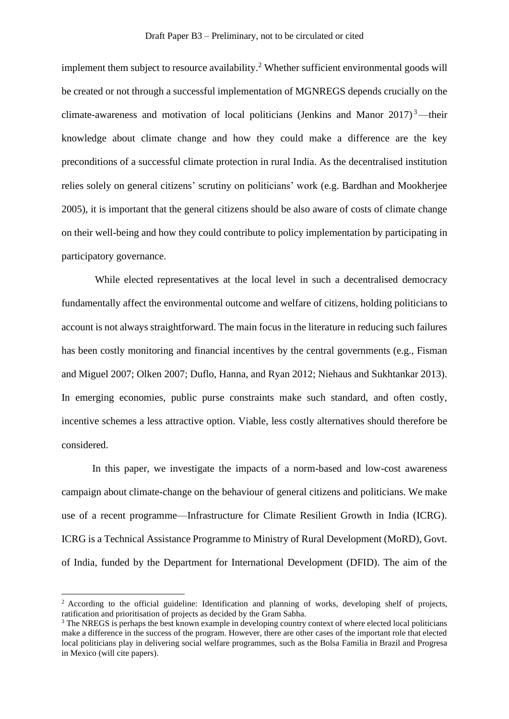implement them subject to resource availability.<sup>2</sup> Whether sufficient environmental goods will be created or not through a successful implementation of MGNREGS depends crucially on the climate-awareness and motivation of local politicians (Jenkins and Manor  $2017$ )<sup>3</sup>—their knowledge about climate change and how they could make a difference are the key preconditions of a successful climate protection in rural India. As the decentralised institution relies solely on general citizens' scrutiny on politicians' work (e.g. Bardhan and Mookherjee 2005), it is important that the general citizens should be also aware of costs of climate change on their well-being and how they could contribute to policy implementation by participating in participatory governance.

While elected representatives at the local level in such a decentralised democracy fundamentally affect the environmental outcome and welfare of citizens, holding politicians to account is not always straightforward. The main focus in the literature in reducing such failures has been costly monitoring and financial incentives by the central governments (e.g., Fisman and Miguel 2007; Olken 2007; Duflo, Hanna, and Ryan 2012; Niehaus and Sukhtankar 2013). In emerging economies, public purse constraints make such standard, and often costly, incentive schemes a less attractive option. Viable, less costly alternatives should therefore be considered.

In this paper, we investigate the impacts of a norm-based and low-cost awareness campaign about climate-change on the behaviour of general citizens and politicians. We make use of a recent programme—Infrastructure for Climate Resilient Growth in India (ICRG). ICRG is a Technical Assistance Programme to Ministry of Rural Development (MoRD), Govt. of India, funded by the Department for International Development (DFID). The aim of the

<sup>&</sup>lt;sup>2</sup> According to the official guideline: Identification and planning of works, developing shelf of projects, ratification and prioritisation of projects as decided by the Gram Sabha.

<sup>&</sup>lt;sup>3</sup> The NREGS is perhaps the best known example in developing country context of where elected local politicians make a difference in the success of the program. However, there are other cases of the important role that elected local politicians play in delivering social welfare programmes, such as the Bolsa Familia in Brazil and Progresa in Mexico (will cite papers).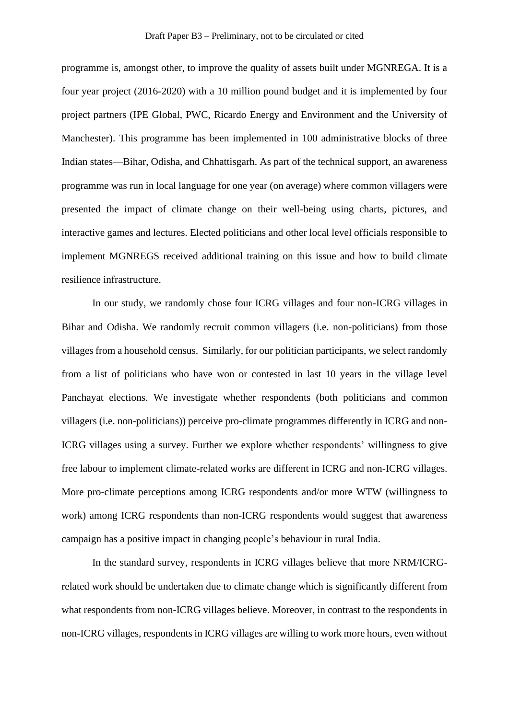programme is, amongst other, to improve the quality of assets built under MGNREGA. It is a four year project (2016-2020) with a 10 million pound budget and it is implemented by four project partners (IPE Global, PWC, Ricardo Energy and Environment and the University of Manchester). This programme has been implemented in 100 administrative blocks of three Indian states—Bihar, Odisha, and Chhattisgarh. As part of the technical support, an awareness programme was run in local language for one year (on average) where common villagers were presented the impact of climate change on their well-being using charts, pictures, and interactive games and lectures. Elected politicians and other local level officials responsible to implement MGNREGS received additional training on this issue and how to build climate resilience infrastructure.

In our study, we randomly chose four ICRG villages and four non-ICRG villages in Bihar and Odisha. We randomly recruit common villagers (i.e. non-politicians) from those villages from a household census. Similarly, for our politician participants, we select randomly from a list of politicians who have won or contested in last 10 years in the village level Panchayat elections. We investigate whether respondents (both politicians and common villagers (i.e. non-politicians)) perceive pro-climate programmes differently in ICRG and non-ICRG villages using a survey. Further we explore whether respondents' willingness to give free labour to implement climate-related works are different in ICRG and non-ICRG villages. More pro-climate perceptions among ICRG respondents and/or more WTW (willingness to work) among ICRG respondents than non-ICRG respondents would suggest that awareness campaign has a positive impact in changing people's behaviour in rural India.

In the standard survey, respondents in ICRG villages believe that more NRM/ICRGrelated work should be undertaken due to climate change which is significantly different from what respondents from non-ICRG villages believe. Moreover, in contrast to the respondents in non-ICRG villages, respondents in ICRG villages are willing to work more hours, even without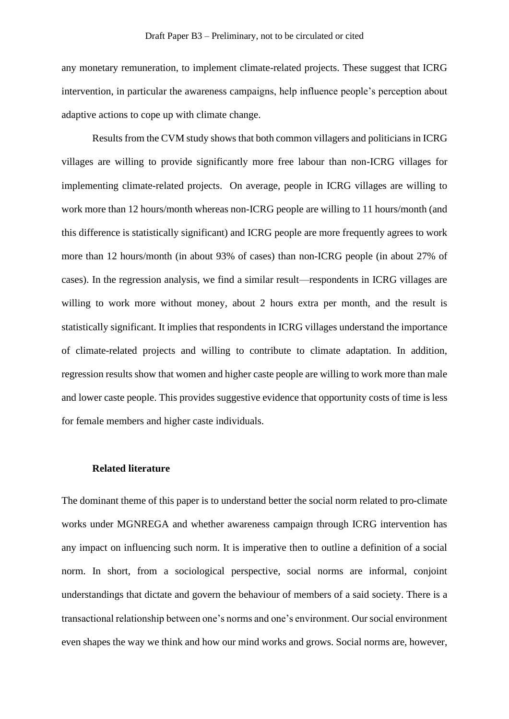any monetary remuneration, to implement climate-related projects. These suggest that ICRG intervention, in particular the awareness campaigns, help influence people's perception about adaptive actions to cope up with climate change.

Results from the CVM study shows that both common villagers and politicians in ICRG villages are willing to provide significantly more free labour than non-ICRG villages for implementing climate-related projects. On average, people in ICRG villages are willing to work more than 12 hours/month whereas non-ICRG people are willing to 11 hours/month (and this difference is statistically significant) and ICRG people are more frequently agrees to work more than 12 hours/month (in about 93% of cases) than non-ICRG people (in about 27% of cases). In the regression analysis, we find a similar result—respondents in ICRG villages are willing to work more without money, about 2 hours extra per month, and the result is statistically significant. It implies that respondents in ICRG villages understand the importance of climate-related projects and willing to contribute to climate adaptation. In addition, regression results show that women and higher caste people are willing to work more than male and lower caste people. This provides suggestive evidence that opportunity costs of time is less for female members and higher caste individuals.

#### **Related literature**

The dominant theme of this paper is to understand better the social norm related to pro-climate works under MGNREGA and whether awareness campaign through ICRG intervention has any impact on influencing such norm. It is imperative then to outline a definition of a social norm. In short, from a sociological perspective, social norms are informal, conjoint understandings that dictate and govern the behaviour of members of a said society. There is a transactional relationship between one's norms and one's environment. Our social environment even shapes the way we think and how our mind works and grows. Social norms are, however,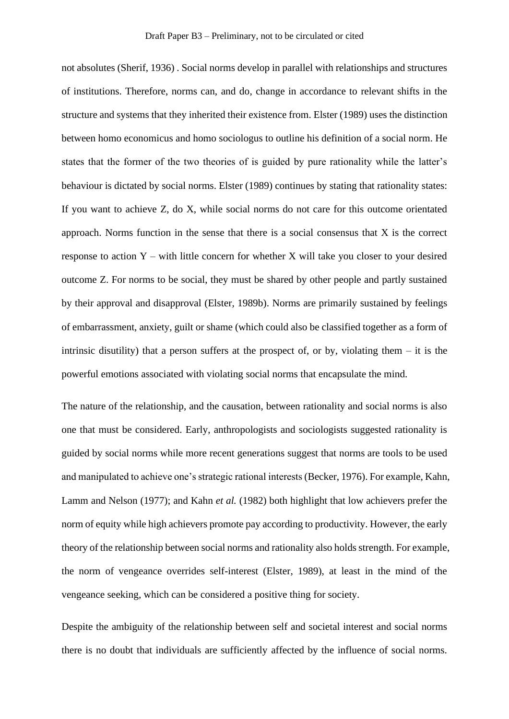not absolutes (Sherif, 1936) . Social norms develop in parallel with relationships and structures of institutions. Therefore, norms can, and do, change in accordance to relevant shifts in the structure and systems that they inherited their existence from. Elster (1989) uses the distinction between homo economicus and homo sociologus to outline his definition of a social norm. He states that the former of the two theories of is guided by pure rationality while the latter's behaviour is dictated by social norms. Elster (1989) continues by stating that rationality states: If you want to achieve Z, do X, while social norms do not care for this outcome orientated approach. Norms function in the sense that there is a social consensus that X is the correct response to action  $Y$  – with little concern for whether X will take you closer to your desired outcome Z. For norms to be social, they must be shared by other people and partly sustained by their approval and disapproval (Elster, 1989b). Norms are primarily sustained by feelings of embarrassment, anxiety, guilt or shame (which could also be classified together as a form of intrinsic disutility) that a person suffers at the prospect of, or by, violating them  $-$  it is the powerful emotions associated with violating social norms that encapsulate the mind.

The nature of the relationship, and the causation, between rationality and social norms is also one that must be considered. Early, anthropologists and sociologists suggested rationality is guided by social norms while more recent generations suggest that norms are tools to be used and manipulated to achieve one's strategic rational interests (Becker, 1976). For example, Kahn, Lamm and Nelson (1977); and Kahn *et al.* (1982) both highlight that low achievers prefer the norm of equity while high achievers promote pay according to productivity. However, the early theory of the relationship between social norms and rationality also holds strength. For example, the norm of vengeance overrides self-interest (Elster, 1989), at least in the mind of the vengeance seeking, which can be considered a positive thing for society.

Despite the ambiguity of the relationship between self and societal interest and social norms there is no doubt that individuals are sufficiently affected by the influence of social norms.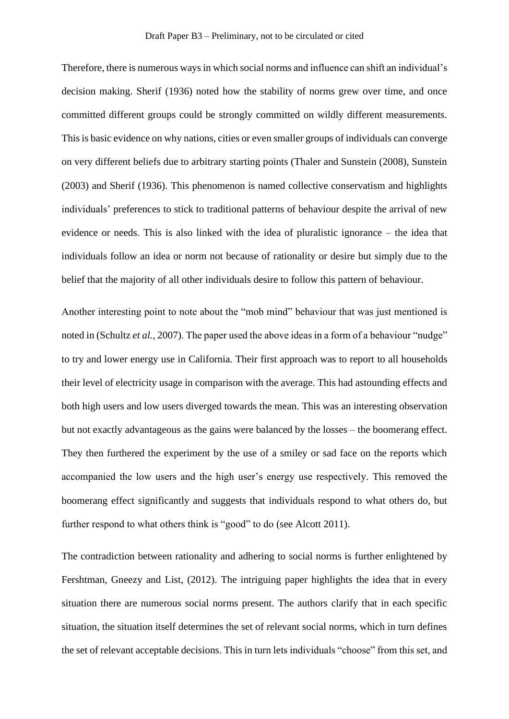Therefore, there is numerous ways in which social norms and influence can shift an individual's decision making. Sherif (1936) noted how the stability of norms grew over time, and once committed different groups could be strongly committed on wildly different measurements. This is basic evidence on why nations, cities or even smaller groups of individuals can converge on very different beliefs due to arbitrary starting points (Thaler and Sunstein (2008), Sunstein (2003) and Sherif (1936). This phenomenon is named collective conservatism and highlights individuals' preferences to stick to traditional patterns of behaviour despite the arrival of new evidence or needs. This is also linked with the idea of pluralistic ignorance – the idea that individuals follow an idea or norm not because of rationality or desire but simply due to the belief that the majority of all other individuals desire to follow this pattern of behaviour.

Another interesting point to note about the "mob mind" behaviour that was just mentioned is noted in (Schultz *et al.*, 2007). The paper used the above ideas in a form of a behaviour "nudge" to try and lower energy use in California. Their first approach was to report to all households their level of electricity usage in comparison with the average. This had astounding effects and both high users and low users diverged towards the mean. This was an interesting observation but not exactly advantageous as the gains were balanced by the losses – the boomerang effect. They then furthered the experiment by the use of a smiley or sad face on the reports which accompanied the low users and the high user's energy use respectively. This removed the boomerang effect significantly and suggests that individuals respond to what others do, but further respond to what others think is "good" to do (see Alcott 2011).

The contradiction between rationality and adhering to social norms is further enlightened by Fershtman, Gneezy and List, (2012). The intriguing paper highlights the idea that in every situation there are numerous social norms present. The authors clarify that in each specific situation, the situation itself determines the set of relevant social norms, which in turn defines the set of relevant acceptable decisions. This in turn lets individuals "choose" from this set, and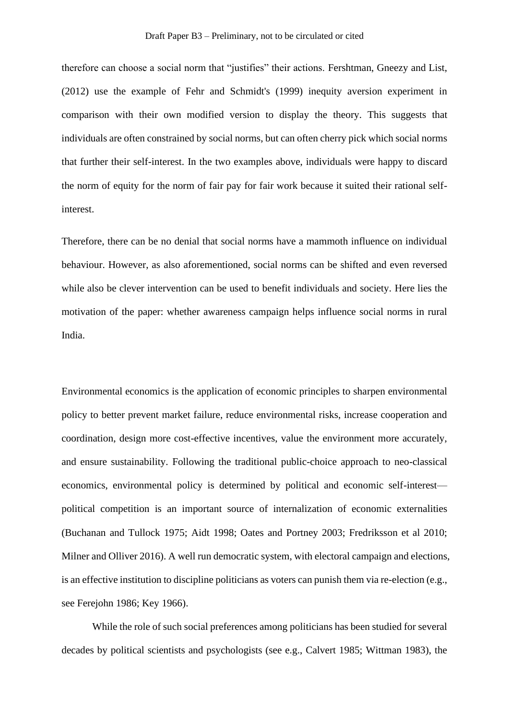therefore can choose a social norm that "justifies" their actions. Fershtman, Gneezy and List, (2012) use the example of Fehr and Schmidt's (1999) inequity aversion experiment in comparison with their own modified version to display the theory. This suggests that individuals are often constrained by social norms, but can often cherry pick which social norms that further their self-interest. In the two examples above, individuals were happy to discard the norm of equity for the norm of fair pay for fair work because it suited their rational selfinterest.

Therefore, there can be no denial that social norms have a mammoth influence on individual behaviour. However, as also aforementioned, social norms can be shifted and even reversed while also be clever intervention can be used to benefit individuals and society. Here lies the motivation of the paper: whether awareness campaign helps influence social norms in rural India.

Environmental economics is the application of economic principles to sharpen environmental policy to better prevent market failure, reduce environmental risks, increase cooperation and coordination, design more cost-effective incentives, value the environment more accurately, and ensure sustainability. Following the traditional public-choice approach to neo-classical economics, environmental policy is determined by political and economic self-interest political competition is an important source of internalization of economic externalities (Buchanan and Tullock 1975; Aidt 1998; Oates and Portney 2003; Fredriksson et al 2010; Milner and Olliver 2016). A well run democratic system, with electoral campaign and elections, is an effective institution to discipline politicians as voters can punish them via re-election (e.g., see Ferejohn 1986; Key 1966).

While the role of such social preferences among politicians has been studied for several decades by political scientists and psychologists (see e.g., Calvert 1985; Wittman 1983), the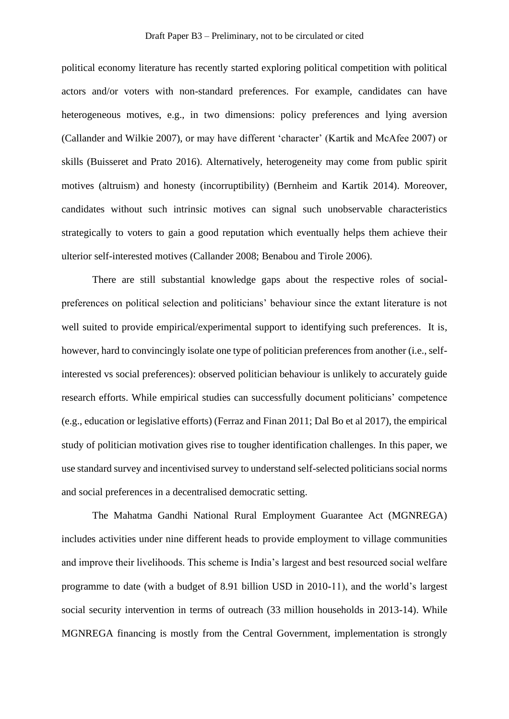political economy literature has recently started exploring political competition with political actors and/or voters with non-standard preferences. For example, candidates can have heterogeneous motives, e.g., in two dimensions: policy preferences and lying aversion (Callander and Wilkie 2007), or may have different 'character' (Kartik and McAfee 2007) or skills (Buisseret and Prato 2016). Alternatively, heterogeneity may come from public spirit motives (altruism) and honesty (incorruptibility) (Bernheim and Kartik 2014). Moreover, candidates without such intrinsic motives can signal such unobservable characteristics strategically to voters to gain a good reputation which eventually helps them achieve their ulterior self-interested motives (Callander 2008; Benabou and Tirole 2006).

There are still substantial knowledge gaps about the respective roles of socialpreferences on political selection and politicians' behaviour since the extant literature is not well suited to provide empirical/experimental support to identifying such preferences. It is, however, hard to convincingly isolate one type of politician preferences from another (i.e., selfinterested vs social preferences): observed politician behaviour is unlikely to accurately guide research efforts. While empirical studies can successfully document politicians' competence (e.g., education or legislative efforts) (Ferraz and Finan 2011; Dal Bo et al 2017), the empirical study of politician motivation gives rise to tougher identification challenges. In this paper, we use standard survey and incentivised survey to understand self-selected politicians social norms and social preferences in a decentralised democratic setting.

The Mahatma Gandhi National Rural Employment Guarantee Act (MGNREGA) includes activities under nine different heads to provide employment to village communities and improve their livelihoods. This scheme is India's largest and best resourced social welfare programme to date (with a budget of 8.91 billion USD in 2010-11), and the world's largest social security intervention in terms of outreach (33 million households in 2013-14). While MGNREGA financing is mostly from the Central Government, implementation is strongly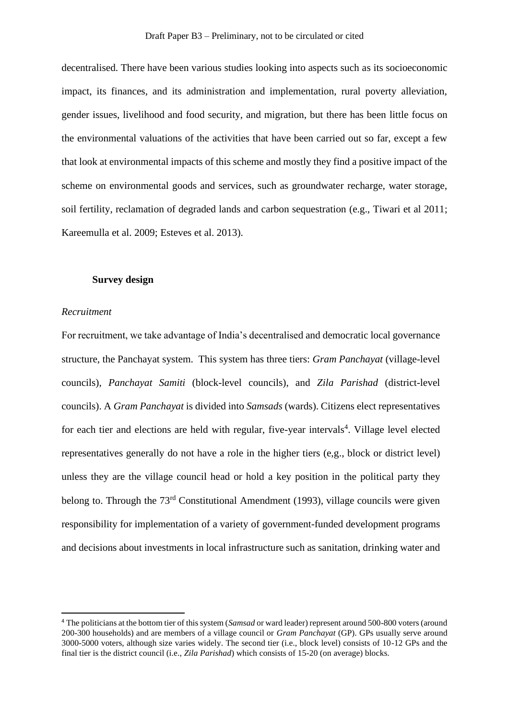decentralised. There have been various studies looking into aspects such as its socioeconomic impact, its finances, and its administration and implementation, rural poverty alleviation, gender issues, livelihood and food security, and migration, but there has been little focus on the environmental valuations of the activities that have been carried out so far, except a few that look at environmental impacts of this scheme and mostly they find a positive impact of the scheme on environmental goods and services, such as groundwater recharge, water storage, soil fertility, reclamation of degraded lands and carbon sequestration (e.g., Tiwari et al 2011; Kareemulla et al. 2009; Esteves et al. 2013).

#### **Survey design**

#### *Recruitment*

For recruitment, we take advantage of India's decentralised and democratic local governance structure, the Panchayat system. This system has three tiers: *Gram Panchayat* (village-level councils), *Panchayat Samiti* (block-level councils), and *Zila Parishad* (district-level councils). A *Gram Panchayat* is divided into *Samsads* (wards). Citizens elect representatives for each tier and elections are held with regular, five-year intervals<sup>4</sup>. Village level elected representatives generally do not have a role in the higher tiers (e,g., block or district level) unless they are the village council head or hold a key position in the political party they belong to. Through the 73<sup>rd</sup> Constitutional Amendment (1993), village councils were given responsibility for implementation of a variety of government-funded development programs and decisions about investments in local infrastructure such as sanitation, drinking water and

<sup>4</sup> The politicians at the bottom tier of this system (*Samsad* or ward leader) represent around 500-800 voters (around 200-300 households) and are members of a village council or *Gram Panchayat* (GP). GPs usually serve around 3000-5000 voters, although size varies widely. The second tier (i.e., block level) consists of 10-12 GPs and the final tier is the district council (i.e., *Zila Parishad*) which consists of 15-20 (on average) blocks.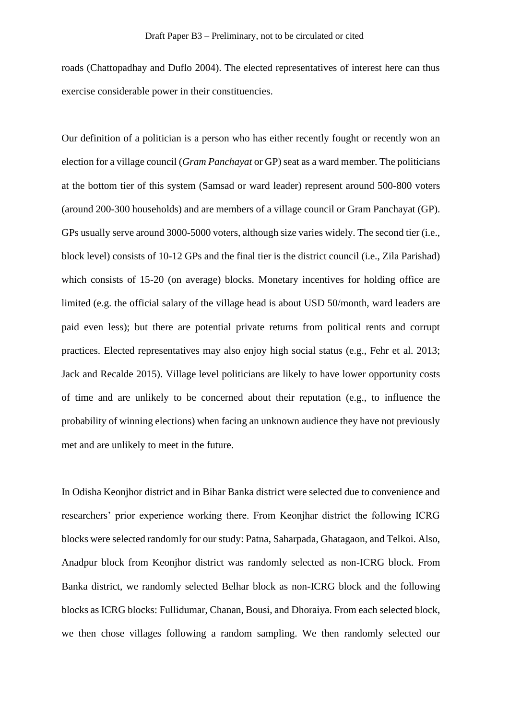roads (Chattopadhay and Duflo 2004). The elected representatives of interest here can thus exercise considerable power in their constituencies.

Our definition of a politician is a person who has either recently fought or recently won an election for a village council (*Gram Panchayat* or GP) seat as a ward member. The politicians at the bottom tier of this system (Samsad or ward leader) represent around 500-800 voters (around 200-300 households) and are members of a village council or Gram Panchayat (GP). GPs usually serve around 3000-5000 voters, although size varies widely. The second tier (i.e., block level) consists of 10-12 GPs and the final tier is the district council (i.e., Zila Parishad) which consists of 15-20 (on average) blocks. Monetary incentives for holding office are limited (e.g. the official salary of the village head is about USD 50/month, ward leaders are paid even less); but there are potential private returns from political rents and corrupt practices. Elected representatives may also enjoy high social status (e.g., Fehr et al. 2013; Jack and Recalde 2015). Village level politicians are likely to have lower opportunity costs of time and are unlikely to be concerned about their reputation (e.g., to influence the probability of winning elections) when facing an unknown audience they have not previously met and are unlikely to meet in the future.

In Odisha Keonjhor district and in Bihar Banka district were selected due to convenience and researchers' prior experience working there. From Keonjhar district the following ICRG blocks were selected randomly for our study: Patna, Saharpada, Ghatagaon, and Telkoi. Also, Anadpur block from Keonjhor district was randomly selected as non-ICRG block. From Banka district, we randomly selected Belhar block as non-ICRG block and the following blocks as ICRG blocks: Fullidumar, Chanan, Bousi, and Dhoraiya. From each selected block, we then chose villages following a random sampling. We then randomly selected our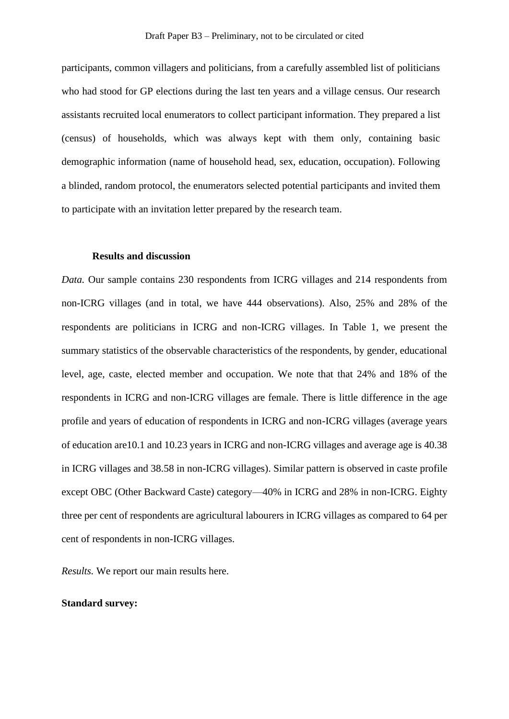participants, common villagers and politicians, from a carefully assembled list of politicians who had stood for GP elections during the last ten years and a village census. Our research assistants recruited local enumerators to collect participant information. They prepared a list (census) of households, which was always kept with them only, containing basic demographic information (name of household head, sex, education, occupation). Following a blinded, random protocol, the enumerators selected potential participants and invited them to participate with an invitation letter prepared by the research team.

#### **Results and discussion**

*Data.* Our sample contains 230 respondents from ICRG villages and 214 respondents from non-ICRG villages (and in total, we have 444 observations). Also, 25% and 28% of the respondents are politicians in ICRG and non-ICRG villages. In Table 1, we present the summary statistics of the observable characteristics of the respondents, by gender, educational level, age, caste, elected member and occupation. We note that that 24% and 18% of the respondents in ICRG and non-ICRG villages are female. There is little difference in the age profile and years of education of respondents in ICRG and non-ICRG villages (average years of education are10.1 and 10.23 years in ICRG and non-ICRG villages and average age is 40.38 in ICRG villages and 38.58 in non-ICRG villages). Similar pattern is observed in caste profile except OBC (Other Backward Caste) category—40% in ICRG and 28% in non-ICRG. Eighty three per cent of respondents are agricultural labourers in ICRG villages as compared to 64 per cent of respondents in non-ICRG villages.

*Results.* We report our main results here.

#### **Standard survey:**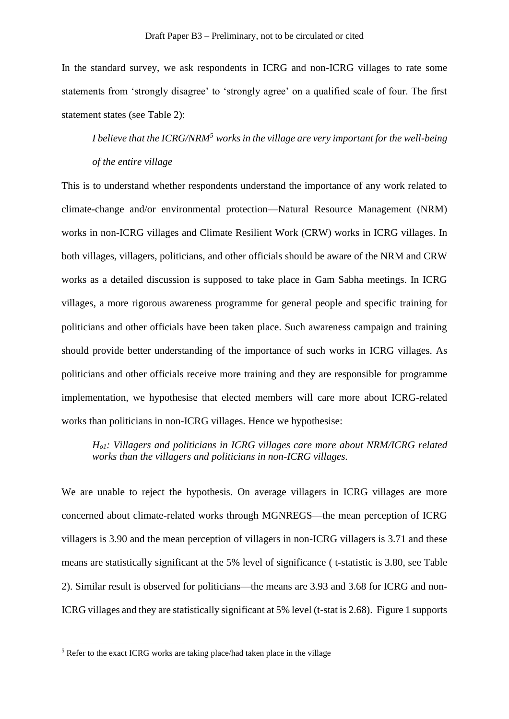In the standard survey, we ask respondents in ICRG and non-ICRG villages to rate some statements from 'strongly disagree' to 'strongly agree' on a qualified scale of four. The first statement states (see Table 2):

*I believe that the ICRG/NRM<sup>5</sup> works in the village are very important for the well-being of the entire village*

This is to understand whether respondents understand the importance of any work related to climate-change and/or environmental protection—Natural Resource Management (NRM) works in non-ICRG villages and Climate Resilient Work (CRW) works in ICRG villages. In both villages, villagers, politicians, and other officials should be aware of the NRM and CRW works as a detailed discussion is supposed to take place in Gam Sabha meetings. In ICRG villages, a more rigorous awareness programme for general people and specific training for politicians and other officials have been taken place. Such awareness campaign and training should provide better understanding of the importance of such works in ICRG villages. As politicians and other officials receive more training and they are responsible for programme implementation, we hypothesise that elected members will care more about ICRG-related works than politicians in non-ICRG villages. Hence we hypothesise:

*Ho1: Villagers and politicians in ICRG villages care more about NRM/ICRG related works than the villagers and politicians in non-ICRG villages.* 

We are unable to reject the hypothesis. On average villagers in ICRG villages are more concerned about climate-related works through MGNREGS—the mean perception of ICRG villagers is 3.90 and the mean perception of villagers in non-ICRG villagers is 3.71 and these means are statistically significant at the 5% level of significance ( t-statistic is 3.80, see Table 2). Similar result is observed for politicians—the means are 3.93 and 3.68 for ICRG and non-ICRG villages and they are statistically significant at 5% level (t-stat is 2.68). Figure 1 supports

<sup>5</sup> Refer to the exact ICRG works are taking place/had taken place in the village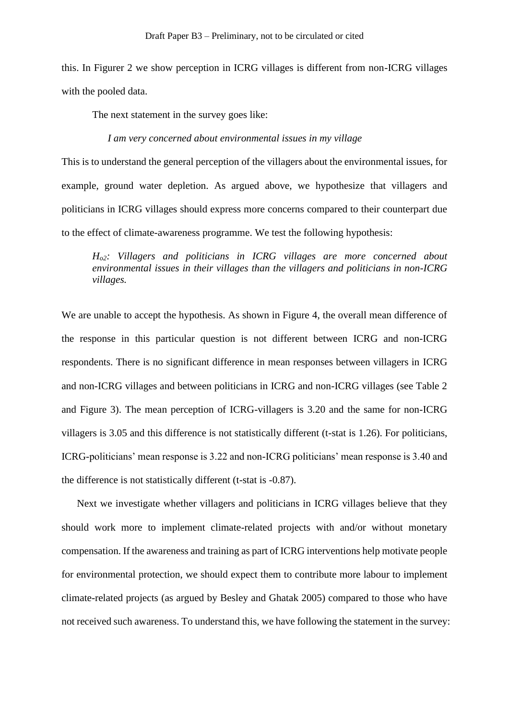this. In Figurer 2 we show perception in ICRG villages is different from non-ICRG villages with the pooled data.

The next statement in the survey goes like:

*I am very concerned about environmental issues in my village*

This is to understand the general perception of the villagers about the environmental issues, for example, ground water depletion. As argued above, we hypothesize that villagers and politicians in ICRG villages should express more concerns compared to their counterpart due to the effect of climate-awareness programme. We test the following hypothesis:

*Ho2: Villagers and politicians in ICRG villages are more concerned about environmental issues in their villages than the villagers and politicians in non-ICRG villages.* 

We are unable to accept the hypothesis. As shown in Figure 4, the overall mean difference of the response in this particular question is not different between ICRG and non-ICRG respondents. There is no significant difference in mean responses between villagers in ICRG and non-ICRG villages and between politicians in ICRG and non-ICRG villages (see Table 2 and Figure 3). The mean perception of ICRG-villagers is 3.20 and the same for non-ICRG villagers is 3.05 and this difference is not statistically different (t-stat is 1.26). For politicians, ICRG-politicians' mean response is 3.22 and non-ICRG politicians' mean response is 3.40 and the difference is not statistically different (t-stat is -0.87).

Next we investigate whether villagers and politicians in ICRG villages believe that they should work more to implement climate-related projects with and/or without monetary compensation. If the awareness and training as part of ICRG interventions help motivate people for environmental protection, we should expect them to contribute more labour to implement climate-related projects (as argued by Besley and Ghatak 2005) compared to those who have not received such awareness. To understand this, we have following the statement in the survey: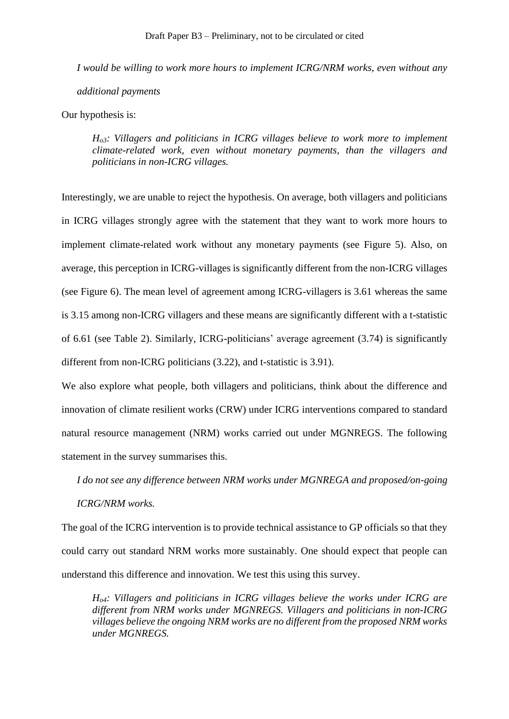*I would be willing to work more hours to implement ICRG/NRM works, even without any additional payments*

Our hypothesis is:

*Ho3: Villagers and politicians in ICRG villages believe to work more to implement climate-related work, even without monetary payments, than the villagers and politicians in non-ICRG villages.* 

Interestingly, we are unable to reject the hypothesis. On average, both villagers and politicians in ICRG villages strongly agree with the statement that they want to work more hours to implement climate-related work without any monetary payments (see Figure 5). Also, on average, this perception in ICRG-villages is significantly different from the non-ICRG villages (see Figure 6). The mean level of agreement among ICRG-villagers is 3.61 whereas the same is 3.15 among non-ICRG villagers and these means are significantly different with a t-statistic of 6.61 (see Table 2). Similarly, ICRG-politicians' average agreement (3.74) is significantly different from non-ICRG politicians (3.22), and t-statistic is 3.91).

We also explore what people, both villagers and politicians, think about the difference and innovation of climate resilient works (CRW) under ICRG interventions compared to standard natural resource management (NRM) works carried out under MGNREGS. The following statement in the survey summarises this.

*I do not see any difference between NRM works under MGNREGA and proposed/on-going* 

#### *ICRG/NRM works.*

The goal of the ICRG intervention is to provide technical assistance to GP officials so that they could carry out standard NRM works more sustainably. One should expect that people can understand this difference and innovation. We test this using this survey.

*Ho4: Villagers and politicians in ICRG villages believe the works under ICRG are different from NRM works under MGNREGS. Villagers and politicians in non-ICRG villages believe the ongoing NRM works are no different from the proposed NRM works under MGNREGS.*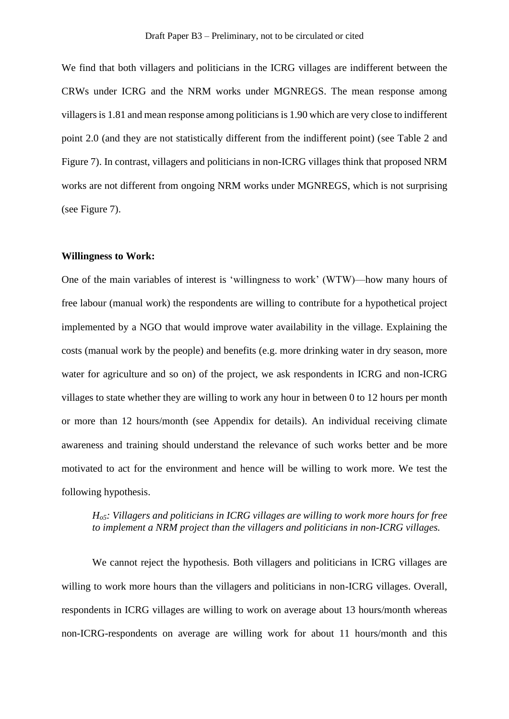We find that both villagers and politicians in the ICRG villages are indifferent between the CRWs under ICRG and the NRM works under MGNREGS. The mean response among villagers is 1.81 and mean response among politicians is 1.90 which are very close to indifferent point 2.0 (and they are not statistically different from the indifferent point) (see Table 2 and Figure 7). In contrast, villagers and politicians in non-ICRG villages think that proposed NRM works are not different from ongoing NRM works under MGNREGS, which is not surprising (see Figure 7).

#### **Willingness to Work:**

One of the main variables of interest is 'willingness to work' (WTW)—how many hours of free labour (manual work) the respondents are willing to contribute for a hypothetical project implemented by a NGO that would improve water availability in the village. Explaining the costs (manual work by the people) and benefits (e.g. more drinking water in dry season, more water for agriculture and so on) of the project, we ask respondents in ICRG and non-ICRG villages to state whether they are willing to work any hour in between 0 to 12 hours per month or more than 12 hours/month (see Appendix for details). An individual receiving climate awareness and training should understand the relevance of such works better and be more motivated to act for the environment and hence will be willing to work more. We test the following hypothesis.

### *Ho5: Villagers and politicians in ICRG villages are willing to work more hours for free to implement a NRM project than the villagers and politicians in non-ICRG villages.*

We cannot reject the hypothesis. Both villagers and politicians in ICRG villages are willing to work more hours than the villagers and politicians in non-ICRG villages. Overall, respondents in ICRG villages are willing to work on average about 13 hours/month whereas non-ICRG-respondents on average are willing work for about 11 hours/month and this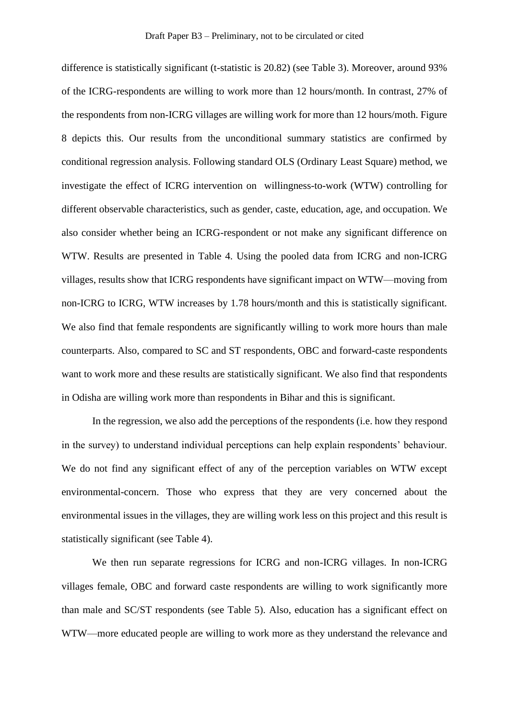difference is statistically significant (t-statistic is 20.82) (see Table 3). Moreover, around 93% of the ICRG-respondents are willing to work more than 12 hours/month. In contrast, 27% of the respondents from non-ICRG villages are willing work for more than 12 hours/moth. Figure 8 depicts this. Our results from the unconditional summary statistics are confirmed by conditional regression analysis. Following standard OLS (Ordinary Least Square) method, we investigate the effect of ICRG intervention on willingness-to-work (WTW) controlling for different observable characteristics, such as gender, caste, education, age, and occupation. We also consider whether being an ICRG-respondent or not make any significant difference on WTW. Results are presented in Table 4. Using the pooled data from ICRG and non-ICRG villages, results show that ICRG respondents have significant impact on WTW—moving from non-ICRG to ICRG, WTW increases by 1.78 hours/month and this is statistically significant. We also find that female respondents are significantly willing to work more hours than male counterparts. Also, compared to SC and ST respondents, OBC and forward-caste respondents want to work more and these results are statistically significant. We also find that respondents in Odisha are willing work more than respondents in Bihar and this is significant.

In the regression, we also add the perceptions of the respondents (i.e. how they respond in the survey) to understand individual perceptions can help explain respondents' behaviour. We do not find any significant effect of any of the perception variables on WTW except environmental-concern. Those who express that they are very concerned about the environmental issues in the villages, they are willing work less on this project and this result is statistically significant (see Table 4).

We then run separate regressions for ICRG and non-ICRG villages. In non-ICRG villages female, OBC and forward caste respondents are willing to work significantly more than male and SC/ST respondents (see Table 5). Also, education has a significant effect on WTW—more educated people are willing to work more as they understand the relevance and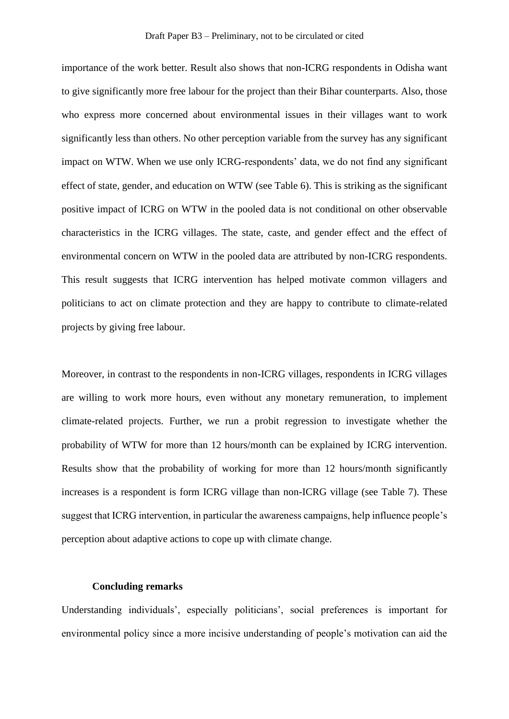importance of the work better. Result also shows that non-ICRG respondents in Odisha want to give significantly more free labour for the project than their Bihar counterparts. Also, those who express more concerned about environmental issues in their villages want to work significantly less than others. No other perception variable from the survey has any significant impact on WTW. When we use only ICRG-respondents' data, we do not find any significant effect of state, gender, and education on WTW (see Table 6). This is striking as the significant positive impact of ICRG on WTW in the pooled data is not conditional on other observable characteristics in the ICRG villages. The state, caste, and gender effect and the effect of environmental concern on WTW in the pooled data are attributed by non-ICRG respondents. This result suggests that ICRG intervention has helped motivate common villagers and politicians to act on climate protection and they are happy to contribute to climate-related projects by giving free labour.

Moreover, in contrast to the respondents in non-ICRG villages, respondents in ICRG villages are willing to work more hours, even without any monetary remuneration, to implement climate-related projects. Further, we run a probit regression to investigate whether the probability of WTW for more than 12 hours/month can be explained by ICRG intervention. Results show that the probability of working for more than 12 hours/month significantly increases is a respondent is form ICRG village than non-ICRG village (see Table 7). These suggest that ICRG intervention, in particular the awareness campaigns, help influence people's perception about adaptive actions to cope up with climate change.

#### **Concluding remarks**

Understanding individuals', especially politicians', social preferences is important for environmental policy since a more incisive understanding of people's motivation can aid the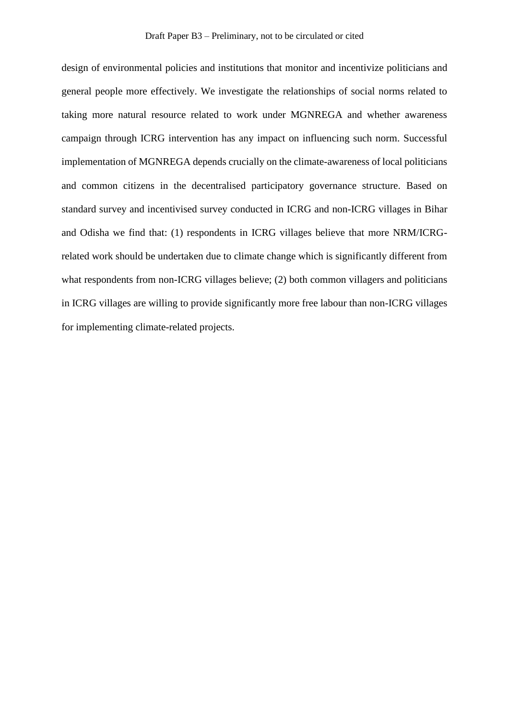design of environmental policies and institutions that monitor and incentivize politicians and general people more effectively. We investigate the relationships of social norms related to taking more natural resource related to work under MGNREGA and whether awareness campaign through ICRG intervention has any impact on influencing such norm. Successful implementation of MGNREGA depends crucially on the climate-awareness of local politicians and common citizens in the decentralised participatory governance structure. Based on standard survey and incentivised survey conducted in ICRG and non-ICRG villages in Bihar and Odisha we find that: (1) respondents in ICRG villages believe that more NRM/ICRGrelated work should be undertaken due to climate change which is significantly different from what respondents from non-ICRG villages believe; (2) both common villagers and politicians in ICRG villages are willing to provide significantly more free labour than non-ICRG villages for implementing climate-related projects.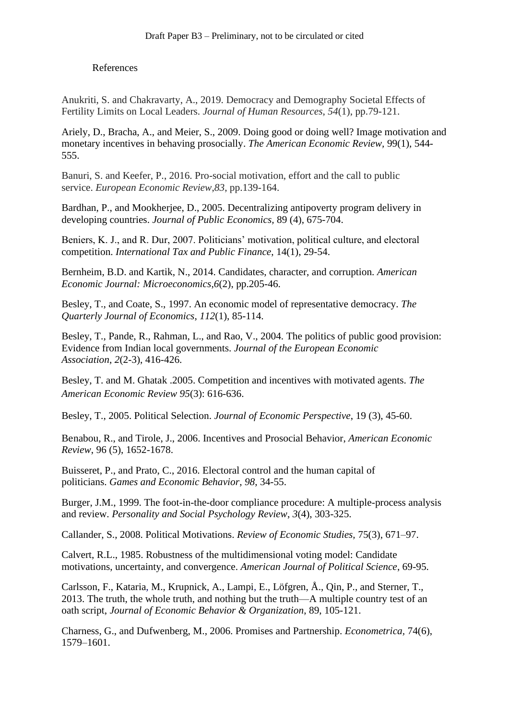### References

Anukriti, S. and Chakravarty, A., 2019. Democracy and Demography Societal Effects of Fertility Limits on Local Leaders. *Journal of Human Resources*, *54*(1), pp.79-121.

Ariely, D., Bracha, A., and Meier, S., 2009. [Doing good or doing well? Image motivation and](http://www.jstor.org/stable/29730196)  [monetary incentives in behaving prosocially.](http://www.jstor.org/stable/29730196) *The American Economic Review,* 99(1), 544- 555.

Banuri, S. and Keefer, P., 2016. Pro-social motivation, effort and the call to public service. *European Economic Review*,*83*, pp.139-164.

Bardhan, P., and Mookherjee, D., 2005. Decentralizing antipoverty program delivery in developing countries. *Journal of Public Economics,* 89 (4), 675-704.

Beniers, K. J., and R. Dur, 2007. Politicians' motivation, political culture, and electoral competition. *International Tax and Public Finance*, 14(1), 29-54.

Bernheim, B.D. and Kartik, N., 2014. Candidates, character, and corruption. *American Economic Journal: Microeconomics*,*6*(2), pp.205-46.

Besley, T., and Coate, S., 1997. An economic model of representative democracy. *The Quarterly Journal of Economics*, *112*(1), 85-114.

Besley, T., Pande, R., Rahman, L., and Rao, V., 2004. The politics of public good provision: Evidence from Indian local governments. *Journal of the European Economic Association*, *2*(2-3), 416-426.

Besley, T. and M. Ghatak .2005. Competition and incentives with motivated agents. *The American Economic Review 95*(3): 616-636.

Besley, T., 2005. Political Selection. *Journal of Economic Perspective*, 19 (3), 45-60.

Benabou, R., and Tirole, J., 2006. Incentives and Prosocial Behavior, *American Economic Review*, 96 (5), 1652-1678.

Buisseret, P., and Prato, C., 2016. Electoral control and the human capital of politicians. *Games and Economic Behavior*, *98*, 34-55.

Burger, J.M., 1999. The foot-in-the-door compliance procedure: A multiple-process analysis and review. *Personality and Social Psychology Review*, *3*(4), 303-325.

Callander, S., 2008. Political Motivations. *Review of Economic Studies,* 75(3), 671–97.

Calvert, R.L., 1985. Robustness of the multidimensional voting model: Candidate motivations, uncertainty, and convergence. *American Journal of Political Science*, 69-95.

Carlsson, F., Kataria, M., Krupnick, A., Lampi, E., Löfgren, Å., Qin, P., and Sterner, T., 2013. The truth, the whole truth, and nothing but the truth—A multiple country test of an oath script, *Journal of Economic Behavior & Organization*, 89, 105-121.

Charness, G., and Dufwenberg, M., 2006. Promises and Partnership. *Econometrica,* 74(6), 1579–1601.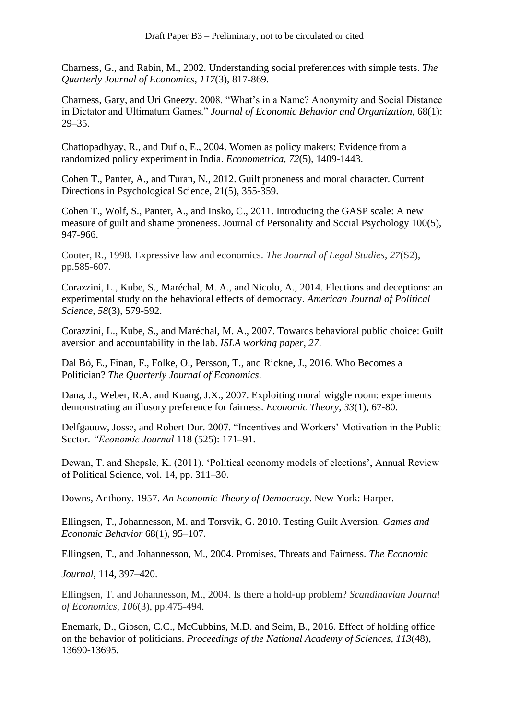Charness, G., and Rabin, M., 2002. Understanding social preferences with simple tests. *The Quarterly Journal of Economics*, *117*(3), 817-869.

Charness, Gary, and Uri Gneezy. 2008. "What's in a Name? Anonymity and Social Distance in Dictator and Ultimatum Games." *Journal of Economic Behavior and Organization*, 68(1): 29–35.

Chattopadhyay, R., and Duflo, E., 2004. Women as policy makers: Evidence from a randomized policy experiment in India. *Econometrica*, *72*(5), 1409-1443.

Cohen T., Panter, A., and Turan, N., 2012. Guilt proneness and moral character. Current Directions in Psychological Science, 21(5), 355-359.

Cohen T., Wolf, S., Panter, A., and Insko, C., 2011. Introducing the GASP scale: A new measure of guilt and shame proneness. Journal of Personality and Social Psychology 100(5), 947-966.

Cooter, R., 1998. Expressive law and economics. *The Journal of Legal Studies*, *27*(S2), pp.585-607.

Corazzini, L., Kube, S., Maréchal, M. A., and Nicolo, A., 2014. Elections and deceptions: an experimental study on the behavioral effects of democracy. *American Journal of Political Science*, *58*(3), 579-592.

Corazzini, L., Kube, S., and Maréchal, M. A., 2007. Towards behavioral public choice: Guilt aversion and accountability in the lab. *ISLA working paper*, *27*.

Dal Bó, E., Finan, F., Folke, O., Persson, T., and Rickne, J., 2016. Who Becomes a Politician? *The Quarterly Journal of Economics*.

Dana, J., Weber, R.A. and Kuang, J.X., 2007. Exploiting moral wiggle room: experiments demonstrating an illusory preference for fairness. *Economic Theory*, *33*(1), 67-80.

Delfgauuw, Josse, and Robert Dur. 2007. "Incentives and Workers' Motivation in the Public Sector. *"Economic Journal* 118 (525): 171–91.

Dewan, T. and Shepsle, K. (2011). 'Political economy models of elections', Annual Review of Political Science, vol. 14, pp. 311–30.

Downs, Anthony. 1957. *An Economic Theory of Democracy*. New York: Harper.

Ellingsen, T., Johannesson, M. and Torsvik, G. 2010. Testing Guilt Aversion. *Games and Economic Behavior* 68(1), 95–107.

Ellingsen, T., and Johannesson, M., 2004. Promises, Threats and Fairness. *The Economic*

*Journal*, 114, 397–420.

Ellingsen, T. and Johannesson, M., 2004. Is there a hold‐up problem? *Scandinavian Journal of Economics*, *106*(3), pp.475-494.

Enemark, D., Gibson, C.C., McCubbins, M.D. and Seim, B., 2016. Effect of holding office on the behavior of politicians. *Proceedings of the National Academy of Sciences*, *113*(48), 13690-13695.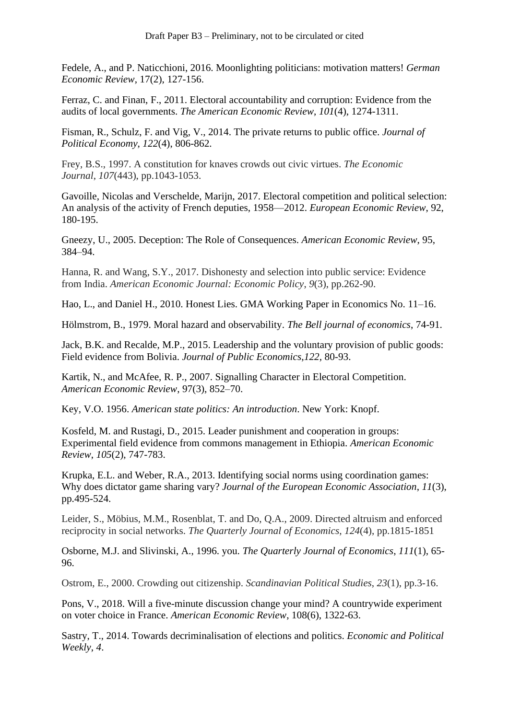Fedele, A., and P. Naticchioni, 2016. Moonlighting politicians: motivation matters! *German Economic Review*, 17(2), 127-156.

Ferraz, C. and Finan, F., 2011. Electoral accountability and corruption: Evidence from the audits of local governments. *The American Economic Review*, *101*(4), 1274-1311.

Fisman, R., Schulz, F. and Vig, V., 2014. The private returns to public office. *Journal of Political Economy*, *122*(4), 806-862.

Frey, B.S., 1997. A constitution for knaves crowds out civic virtues. *The Economic Journal*, *107*(443), pp.1043-1053.

Gavoille, Nicolas and Verschelde, Marijn, 2017. Electoral competition and political selection: An analysis of the activity of French deputies, 1958—2012. *European Economic Review*, 92, 180-195.

Gneezy, U., 2005. Deception: The Role of Consequences. *American Economic Review*, 95, 384–94.

Hanna, R. and Wang, S.Y., 2017. Dishonesty and selection into public service: Evidence from India. *American Economic Journal: Economic Policy*, *9*(3), pp.262-90.

Hao, L., and Daniel H., 2010. Honest Lies. GMA Working Paper in Economics No. 11–16.

Hölmstrom, B., 1979. Moral hazard and observability. *The Bell journal of economics*, 74-91.

Jack, B.K. and Recalde, M.P., 2015. Leadership and the voluntary provision of public goods: Field evidence from Bolivia. *Journal of Public Economics*,*122*, 80-93.

Kartik, N., and McAfee, R. P., 2007. Signalling Character in Electoral Competition. *American Economic Review*, 97(3), 852–70.

Key, V.O. 1956. *American state politics: An introduction*. New York: Knopf.

Kosfeld, M. and Rustagi, D., 2015. Leader punishment and cooperation in groups: Experimental field evidence from commons management in Ethiopia. *American Economic Review*, *105*(2), 747-783.

Krupka, E.L. and Weber, R.A., 2013. Identifying social norms using coordination games: Why does dictator game sharing vary? *Journal of the European Economic Association*, *11*(3), pp.495-524.

Leider, S., Möbius, M.M., Rosenblat, T. and Do, Q.A., 2009. Directed altruism and enforced reciprocity in social networks. *The Quarterly Journal of Economics*, *124*(4), pp.1815-1851

Osborne, M.J. and Slivinski, A., 1996. you. *The Quarterly Journal of Economics*, *111*(1), 65- 96.

Ostrom, E., 2000. Crowding out citizenship. *Scandinavian Political Studies*, *23*(1), pp.3-16.

Pons, V., 2018. Will a five-minute discussion change your mind? A countrywide experiment on voter choice in France. *American Economic Review*, 108(6), 1322-63.

Sastry, T., 2014. Towards decriminalisation of elections and politics. *Economic and Political Weekly*, *4*.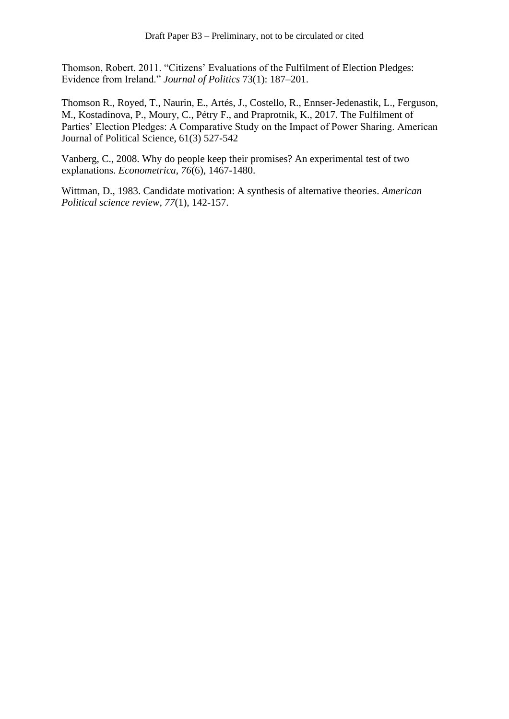Thomson, Robert. 2011. "Citizens' Evaluations of the Fulfilment of Election Pledges: Evidence from Ireland." *Journal of Politics* 73(1): 187–201.

Thomson R., Royed, T., Naurin, E., Artés, J., Costello, R., Ennser-Jedenastik, L., Ferguson, M., Kostadinova, P., Moury, C., Pétry F., and Praprotnik, K., 2017. The Fulfilment of Parties' Election Pledges: A Comparative Study on the Impact of Power Sharing. American Journal of Political Science, 61(3) 527-542

Vanberg, C., 2008. Why do people keep their promises? An experimental test of two explanations. *Econometrica*, *76*(6), 1467-1480.

Wittman, D., 1983. Candidate motivation: A synthesis of alternative theories. *American Political science review*, *77*(1), 142-157.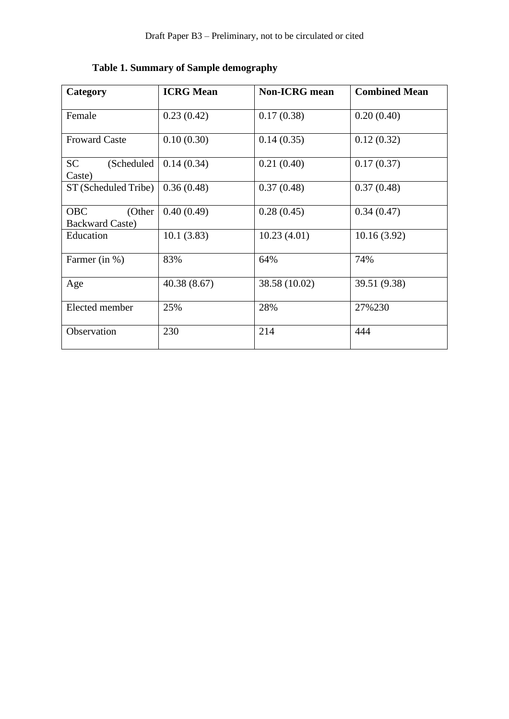| Category                                       | <b>ICRG</b> Mean | <b>Non-ICRG</b> mean | <b>Combined Mean</b> |
|------------------------------------------------|------------------|----------------------|----------------------|
| Female                                         | 0.23(0.42)       | 0.17(0.38)           | 0.20(0.40)           |
| <b>Froward Caste</b>                           | 0.10(0.30)       | 0.14(0.35)           | 0.12(0.32)           |
| <b>SC</b><br>(Scheduled<br>Caste)              | 0.14(0.34)       | 0.21(0.40)           | 0.17(0.37)           |
| ST (Scheduled Tribe)                           | 0.36(0.48)       | 0.37(0.48)           | 0.37(0.48)           |
| <b>OBC</b><br>(Other<br><b>Backward Caste)</b> | 0.40(0.49)       | 0.28(0.45)           | 0.34(0.47)           |
| Education                                      | 10.1(3.83)       | 10.23(4.01)          | 10.16(3.92)          |
| Farmer (in %)                                  | 83%              | 64%                  | 74%                  |
| Age                                            | 40.38(8.67)      | 38.58 (10.02)        | 39.51 (9.38)         |
| Elected member                                 | 25%              | 28%                  | 27%230               |
| Observation                                    | 230              | 214                  | 444                  |

# **Table 1. Summary of Sample demography**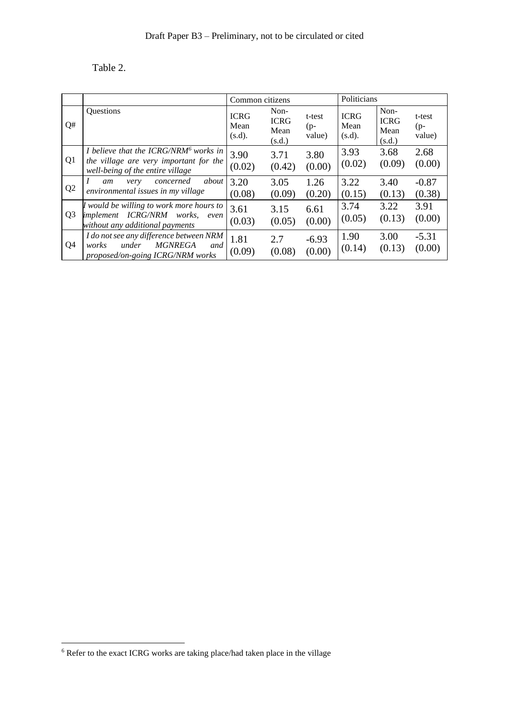# Table 2.

|                |                                                                                                                                 | Common citizens               |                                       |                           | Politicians                   |                                       |                           |
|----------------|---------------------------------------------------------------------------------------------------------------------------------|-------------------------------|---------------------------------------|---------------------------|-------------------------------|---------------------------------------|---------------------------|
| Q#             | Questions                                                                                                                       | <b>ICRG</b><br>Mean<br>(s.d). | Non-<br><b>ICRG</b><br>Mean<br>(s.d.) | t-test<br>$(p-$<br>value) | <b>ICRG</b><br>Mean<br>(s.d). | Non-<br><b>ICRG</b><br>Mean<br>(s.d.) | t-test<br>$(p-$<br>value) |
| Q1             | I believe that the ICRG/NRM <sup>6</sup> works in<br>the village are very important for the<br>well-being of the entire village | 3.90<br>(0.02)                | 3.71<br>(0.42)                        | 3.80<br>(0.00)            | 3.93<br>(0.02)                | 3.68<br>(0.09)                        | 2.68<br>(0.00)            |
| Q <sub>2</sub> | about<br>concerned<br>very<br>am<br>environmental issues in my village                                                          | 3.20<br>(0.08)                | 3.05<br>(0.09)                        | 1.26<br>(0.20)            | 3.22<br>(0.15)                | 3.40<br>(0.13)                        | $-0.87$<br>(0.38)         |
| Q <sub>3</sub> | I would be willing to work more hours to<br>implement ICRG/NRM works,<br>even<br>without any additional payments                | 3.61<br>(0.03)                | 3.15<br>(0.05)                        | 6.61<br>(0.00)            | 3.74<br>(0.05)                | 3.22<br>(0.13)                        | 3.91<br>(0.00)            |
| Q4             | I do not see any difference between NRM<br><b>MGNREGA</b><br>under<br>works<br>and<br>proposed/on-going ICRG/NRM works          | 1.81<br>(0.09)                | 2.7<br>(0.08)                         | $-6.93$<br>(0.00)         | 1.90<br>(0.14)                | 3.00<br>(0.13)                        | $-5.31$<br>(0.00)         |

<sup>6</sup> Refer to the exact ICRG works are taking place/had taken place in the village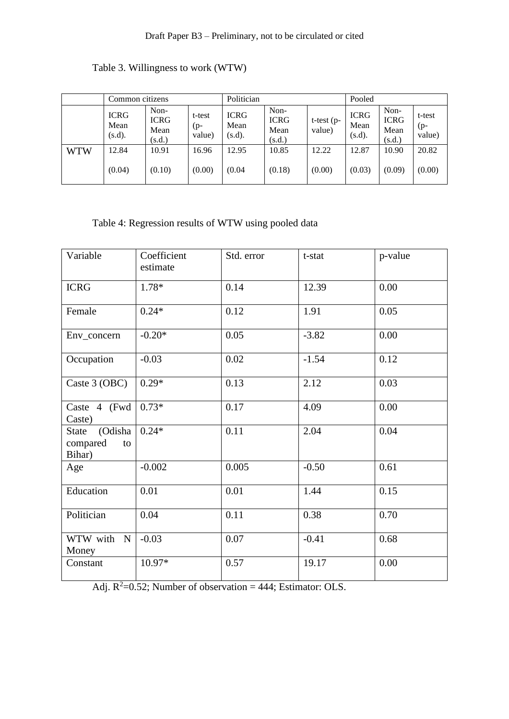|            | Common citizens               |                                       |                           | Politician                    |                                       |                         | Pooled                        |                                       |                           |
|------------|-------------------------------|---------------------------------------|---------------------------|-------------------------------|---------------------------------------|-------------------------|-------------------------------|---------------------------------------|---------------------------|
|            | <b>ICRG</b><br>Mean<br>(s.d). | Non-<br><b>ICRG</b><br>Mean<br>(s.d.) | t-test<br>$(p-$<br>value) | <b>ICRG</b><br>Mean<br>(s.d). | Non-<br><b>ICRG</b><br>Mean<br>(s.d.) | $t$ -test (p-<br>value) | <b>ICRG</b><br>Mean<br>(s.d). | Non-<br><b>ICRG</b><br>Mean<br>(s.d.) | t-test<br>$(p-$<br>value) |
| <b>WTW</b> | 12.84                         | 10.91                                 | 16.96                     | 12.95                         | 10.85                                 | 12.22                   | 12.87                         | 10.90                                 | 20.82                     |
|            | (0.04)                        | (0.10)                                | (0.00)                    | (0.04)                        | (0.18)                                | (0.00)                  | (0.03)                        | (0.09)                                | (0.00)                    |

# Table 3. Willingness to work (WTW)

# Table 4: Regression results of WTW using pooled data

| Variable                                     | Coefficient<br>estimate | Std. error | t-stat  | p-value |
|----------------------------------------------|-------------------------|------------|---------|---------|
| <b>ICRG</b>                                  | 1.78*                   | 0.14       | 12.39   | 0.00    |
| Female                                       | $0.24*$                 | 0.12       | 1.91    | 0.05    |
| Env_concern                                  | $-0.20*$                | 0.05       | $-3.82$ | 0.00    |
| Occupation                                   | $-0.03$                 | 0.02       | $-1.54$ | 0.12    |
| Caste 3 (OBC)                                | $0.29*$                 | 0.13       | 2.12    | 0.03    |
| Caste 4 (Fwd<br>Caste)                       | $0.73*$                 | 0.17       | 4.09    | 0.00    |
| (Odisha<br>State<br>compared<br>to<br>Bihar) | $0.24*$                 | 0.11       | 2.04    | 0.04    |
| Age                                          | $-0.002$                | 0.005      | $-0.50$ | 0.61    |
| Education                                    | 0.01                    | 0.01       | 1.44    | 0.15    |
| Politician                                   | 0.04                    | 0.11       | 0.38    | 0.70    |
| WTW with N<br>Money                          | $-0.03$                 | 0.07       | $-0.41$ | 0.68    |
| Constant                                     | 10.97*                  | 0.57       | 19.17   | 0.00    |

Adj.  $R^2=0.52$ ; Number of observation = 444; Estimator: OLS.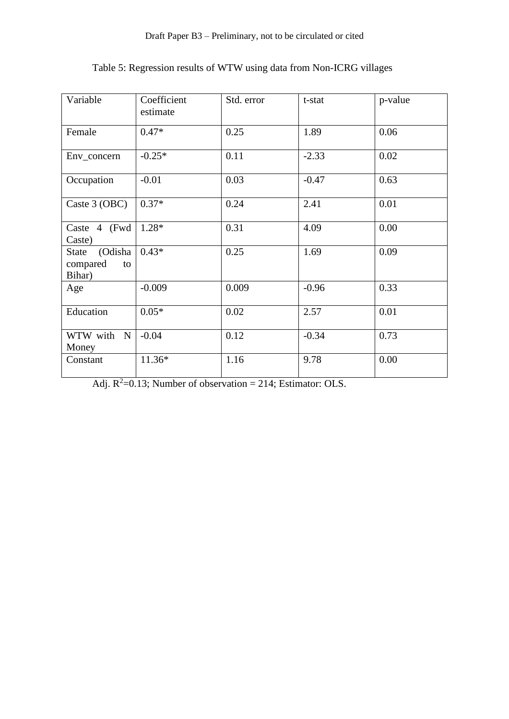| Variable                                     | Coefficient<br>estimate | Std. error | t-stat  | p-value |
|----------------------------------------------|-------------------------|------------|---------|---------|
| Female                                       | $0.47*$                 | 0.25       | 1.89    | 0.06    |
| Env_concern                                  | $-0.25*$                | 0.11       | $-2.33$ | 0.02    |
| Occupation                                   | $-0.01$                 | 0.03       | $-0.47$ | 0.63    |
| Caste 3 (OBC)                                | $0.37*$                 | 0.24       | 2.41    | 0.01    |
| Caste 4 (Fwd<br>Caste)                       | $1.28*$                 | 0.31       | 4.09    | 0.00    |
| (Odisha<br>State<br>compared<br>to<br>Bihar) | $0.43*$                 | 0.25       | 1.69    | 0.09    |
| Age                                          | $-0.009$                | 0.009      | $-0.96$ | 0.33    |
| Education                                    | $0.05*$                 | 0.02       | 2.57    | 0.01    |
| WTW with<br>$\mathbf N$<br>Money             | $-0.04$                 | 0.12       | $-0.34$ | 0.73    |
| Constant                                     | $11.36*$                | 1.16       | 9.78    | 0.00    |

Table 5: Regression results of WTW using data from Non-ICRG villages

Adj.  $R^2=0.13$ ; Number of observation = 214; Estimator: OLS.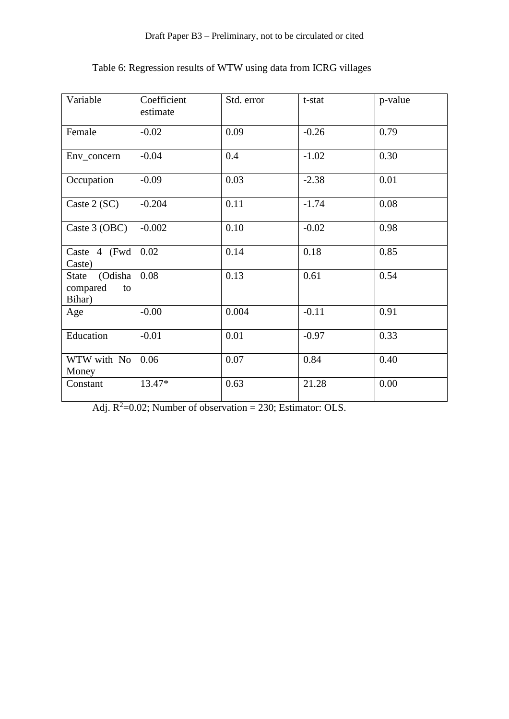| Variable                                     | Coefficient<br>estimate | Std. error | t-stat  | p-value |
|----------------------------------------------|-------------------------|------------|---------|---------|
| Female                                       | $-0.02$                 | 0.09       | $-0.26$ | 0.79    |
| Env_concern                                  | $-0.04$                 | 0.4        | $-1.02$ | 0.30    |
| Occupation                                   | $-0.09$                 | 0.03       | $-2.38$ | 0.01    |
| Caste 2 (SC)                                 | $-0.204$                | 0.11       | $-1.74$ | 0.08    |
| Caste 3 (OBC)                                | $-0.002$                | 0.10       | $-0.02$ | 0.98    |
| Caste 4 (Fwd<br>Caste)                       | 0.02                    | 0.14       | 0.18    | 0.85    |
| (Odisha<br>State<br>compared<br>to<br>Bihar) | 0.08                    | 0.13       | 0.61    | 0.54    |
| Age                                          | $-0.00$                 | 0.004      | $-0.11$ | 0.91    |
| Education                                    | $-0.01$                 | 0.01       | $-0.97$ | 0.33    |
| WTW with No<br>Money                         | 0.06                    | 0.07       | 0.84    | 0.40    |
| Constant                                     | 13.47*                  | 0.63       | 21.28   | 0.00    |

Table 6: Regression results of WTW using data from ICRG villages

Adj.  $R^2$ =0.02; Number of observation = 230; Estimator: OLS.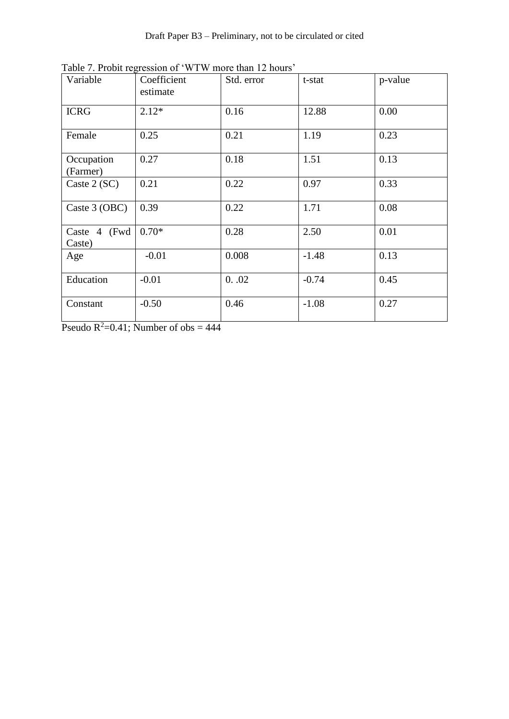| Variable               | Coefficient<br>estimate | Std. error | t-stat  | p-value |
|------------------------|-------------------------|------------|---------|---------|
| <b>ICRG</b>            | $2.12*$                 | 0.16       | 12.88   | 0.00    |
| Female                 | 0.25                    | 0.21       | 1.19    | 0.23    |
| Occupation<br>(Farmer) | 0.27                    | 0.18       | 1.51    | 0.13    |
| Caste 2 (SC)           | 0.21                    | 0.22       | 0.97    | 0.33    |
| Caste 3 (OBC)          | 0.39                    | 0.22       | 1.71    | 0.08    |
| Caste 4 (Fwd<br>Caste) | $0.70*$                 | 0.28       | 2.50    | 0.01    |
| Age                    | $-0.01$                 | 0.008      | $-1.48$ | 0.13    |
| Education              | $-0.01$                 | 0.02       | $-0.74$ | 0.45    |
| Constant               | $-0.50$                 | 0.46       | $-1.08$ | 0.27    |

Table 7. Probit regression of 'WTW more than 12 hours'

Pseudo  $\overline{R^2}$ =0.41; Number of obs = 444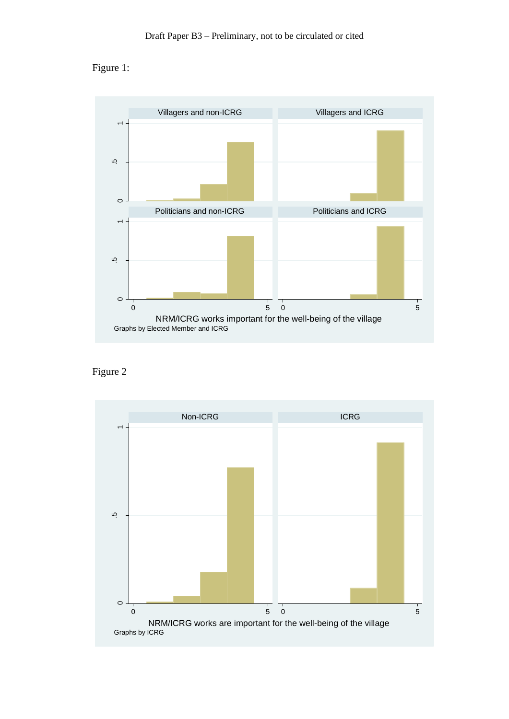



Figure 2

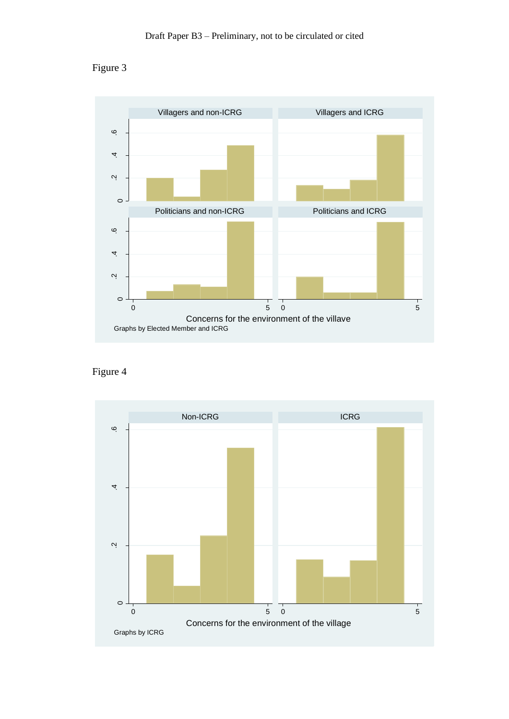



Figure 4

![](_page_31_Figure_4.jpeg)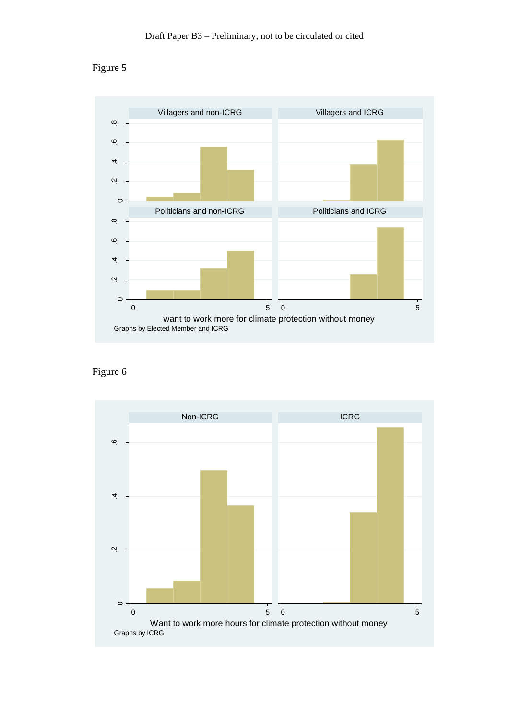![](_page_32_Figure_1.jpeg)

![](_page_32_Figure_2.jpeg)

Figure 6

![](_page_32_Figure_4.jpeg)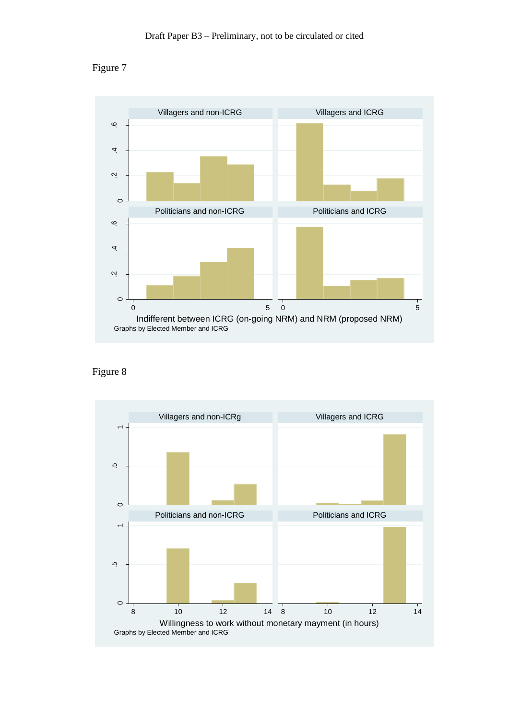![](_page_33_Figure_1.jpeg)

![](_page_33_Figure_2.jpeg)

Figure 8

![](_page_33_Figure_4.jpeg)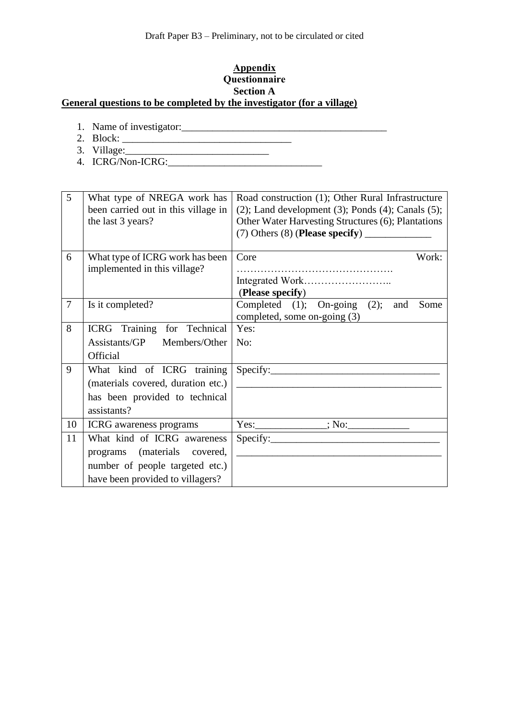## **Appendix Questionnaire Section A General questions to be completed by the investigator (for a village)**

- 1. Name of investigator:\_\_\_\_\_\_\_\_\_\_\_\_\_\_\_\_\_\_\_\_\_\_\_\_\_\_\_\_\_\_\_\_\_\_\_\_\_\_\_\_
- 2. Block: \_\_\_\_\_\_\_\_\_\_\_\_\_\_\_\_\_\_\_\_\_\_\_\_\_\_\_\_\_\_\_\_\_
- 3. Village:\_\_\_\_\_\_\_\_\_\_\_\_\_\_\_\_\_\_\_\_\_\_\_\_\_\_\_\_
- 4. ICRG/Non-ICRG:\_\_\_\_\_\_\_\_\_\_\_\_\_\_\_\_\_\_\_\_\_\_\_\_\_\_\_\_\_\_

| 5              | What type of NREGA work has<br>been carried out in this village in<br>the last 3 years?                                                                                                     | Road construction (1); Other Rural Infrastructure<br>$(2)$ ; Land development $(3)$ ; Ponds $(4)$ ; Canals $(5)$ ;<br>Other Water Harvesting Structures (6); Plantations                                                                                                                                                                                                                                                                                                                                                                                                                        |  |  |
|----------------|---------------------------------------------------------------------------------------------------------------------------------------------------------------------------------------------|-------------------------------------------------------------------------------------------------------------------------------------------------------------------------------------------------------------------------------------------------------------------------------------------------------------------------------------------------------------------------------------------------------------------------------------------------------------------------------------------------------------------------------------------------------------------------------------------------|--|--|
| 6              | What type of ICRG work has been<br>implemented in this village?                                                                                                                             | Core<br>Work:<br>(Please specify)                                                                                                                                                                                                                                                                                                                                                                                                                                                                                                                                                               |  |  |
| $\overline{7}$ | Is it completed?                                                                                                                                                                            | Completed (1); On-going (2); and<br>Some<br>completed, some on-going (3)                                                                                                                                                                                                                                                                                                                                                                                                                                                                                                                        |  |  |
| 8<br>9         | ICRG Training for Technical<br>Assistants/GP Members/Other<br>Official<br>What kind of ICRG training<br>(materials covered, duration etc.)<br>has been provided to technical<br>assistants? | Yes:<br>No:<br>$\text{Specify:}\n$<br><u> 1980 - Andrea Barbara, poeta esperanto-poeta esperanto-poeta esperanto-poeta esperanto-poeta esperanto-poeta</u>                                                                                                                                                                                                                                                                                                                                                                                                                                      |  |  |
| 10             | <b>ICRG</b> awareness programs                                                                                                                                                              |                                                                                                                                                                                                                                                                                                                                                                                                                                                                                                                                                                                                 |  |  |
| 11             | What kind of ICRG awareness<br>programs (materials covered,<br>number of people targeted etc.)<br>have been provided to villagers?                                                          | $\text{Specify:}\n\begin{picture}(1,0) \label{fig:ex3} \begin{picture}(1,0) \label{fig:ex3} \end{picture}% \begin{picture}(1,0) \label{fig:ex3} \end{picture}% \begin{picture}(1,0) \label{fig:ex3} \end{picture}% \begin{picture}(1,0) \label{fig:ex3} \end{picture}% \begin{picture}(1,0) \label{fig:ex3} \end{picture}% \begin{picture}(1,0) \label{fig:ex3} \end{picture}% \begin{picture}(1,0) \label{fig:ex3} \end{picture}% \begin{picture}(1,0) \label{fig:ex3} \end{picture}% \begin{picture}(1,0) \label{fig:ex3} \end$<br><u> 1986 - Jan James James Barbara, martxa a fizikar a</u> |  |  |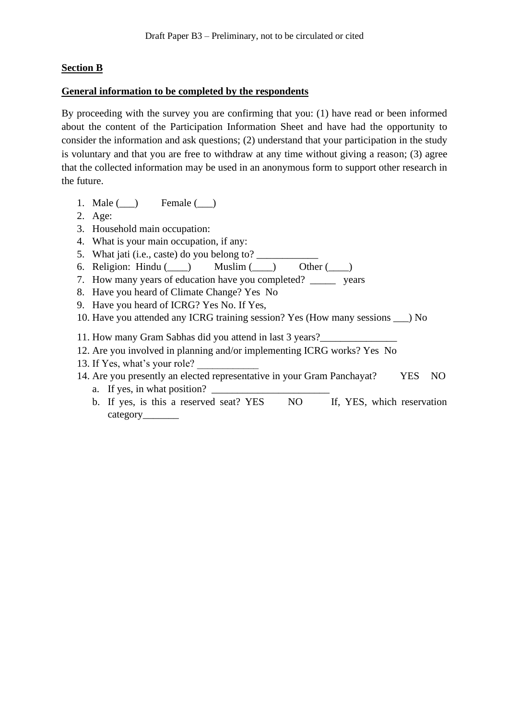## **Section B**

### **General information to be completed by the respondents**

By proceeding with the survey you are confirming that you: (1) have read or been informed about the content of the Participation Information Sheet and have had the opportunity to consider the information and ask questions; (2) understand that your participation in the study is voluntary and that you are free to withdraw at any time without giving a reason; (3) agree that the collected information may be used in an anonymous form to support other research in the future.

- 1. Male ( ) Female ( )
- 2. Age:
- 3. Household main occupation:
- 4. What is your main occupation, if any:
- 5. What jati (i.e., caste) do you belong to? \_\_\_\_\_\_\_\_\_\_\_\_
- 6. Religion: Hindu ( $\qquad$ ) Muslim ( $\qquad$ ) Other ( $\qquad$ )
- 7. How many years of education have you completed? vears
- 8. Have you heard of Climate Change? Yes No
- 9. Have you heard of ICRG? Yes No. If Yes,
- 10. Have you attended any ICRG training session? Yes (How many sessions \_\_\_) No
- 11. How many Gram Sabhas did you attend in last 3 years?
- 12. Are you involved in planning and/or implementing ICRG works? Yes No
- 13. If Yes, what's your role?
- 14. Are you presently an elected representative in your Gram Panchayat? YES NO a. If yes, in what position?
	- b. If yes, is this a reserved seat? YES NO If, YES, which reservation category\_\_\_\_\_\_\_\_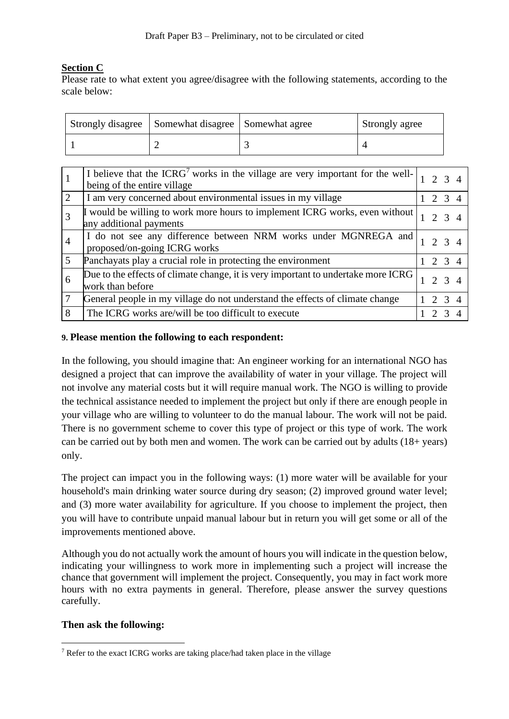# **Section C**

Please rate to what extent you agree/disagree with the following statements, according to the scale below:

| Strongly disagree   Somewhat disagree   Somewhat agree | Strongly agree |  |  |
|--------------------------------------------------------|----------------|--|--|
|                                                        |                |  |  |

|                | I believe that the ICRG <sup>7</sup> works in the village are very important for the well-<br>being of the entire village |       | $2 \t3 \t4$ |  |
|----------------|---------------------------------------------------------------------------------------------------------------------------|-------|-------------|--|
| $\overline{2}$ | I am very concerned about environmental issues in my village                                                              |       | 2 3 4       |  |
|                | would be willing to work more hours to implement ICRG works, even without<br>any additional payments                      |       | 2, 3, 4     |  |
|                | I do not see any difference between NRM works under MGNREGA and<br>proposed/on-going ICRG works                           |       | $2 \t3 \t4$ |  |
|                | Panchayats play a crucial role in protecting the environment                                                              | 2 3 4 |             |  |
| 6              | Due to the effects of climate change, it is very important to undertake more ICRG<br>work than before                     | 2 3 4 |             |  |
|                | General people in my village do not understand the effects of climate change                                              | 2 3 4 |             |  |
| 8              | The ICRG works are/will be too difficult to execute                                                                       |       |             |  |

### **9. Please mention the following to each respondent:**

In the following, you should imagine that: An engineer working for an international NGO has designed a project that can improve the availability of water in your village. The project will not involve any material costs but it will require manual work. The NGO is willing to provide the technical assistance needed to implement the project but only if there are enough people in your village who are willing to volunteer to do the manual labour. The work will not be paid. There is no government scheme to cover this type of project or this type of work. The work can be carried out by both men and women. The work can be carried out by adults (18+ years) only.

The project can impact you in the following ways: (1) more water will be available for your household's main drinking water source during dry season; (2) improved ground water level; and (3) more water availability for agriculture. If you choose to implement the project, then you will have to contribute unpaid manual labour but in return you will get some or all of the improvements mentioned above.

Although you do not actually work the amount of hours you will indicate in the question below, indicating your willingness to work more in implementing such a project will increase the chance that government will implement the project. Consequently, you may in fact work more hours with no extra payments in general. Therefore, please answer the survey questions carefully.

## **Then ask the following:**

<sup>7</sup> Refer to the exact ICRG works are taking place/had taken place in the village